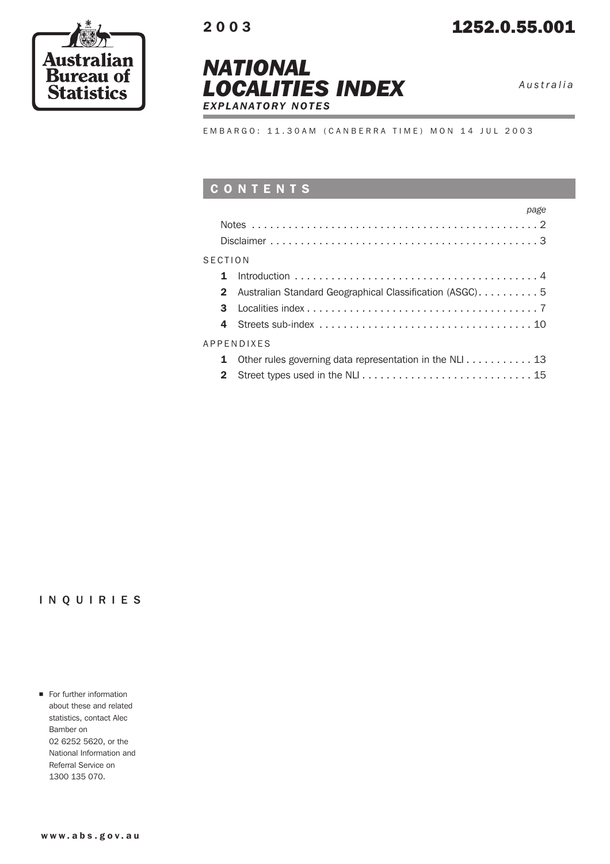





*Australia*

EMBARGO: 11.30AM (CANBERRA TIME) MON 14 JUL 2003

# CONTENTS

|                | page                                                    |  |
|----------------|---------------------------------------------------------|--|
|                |                                                         |  |
|                |                                                         |  |
| <b>SECTION</b> |                                                         |  |
| 1              |                                                         |  |
| $\mathbf{2}$   | Australian Standard Geographical Classification (ASGC)5 |  |
| 3              |                                                         |  |
| 4              |                                                         |  |
|                | APPENDIXES                                              |  |
| 1              | Other rules governing data representation in the NLI 13 |  |
| $\mathbf{2}$   |                                                         |  |

## INQUIRIES

For further information about these and related statistics, contact Alec Bamber on 02 6252 5620, or the National Information and Referral Service on 1300 135 070.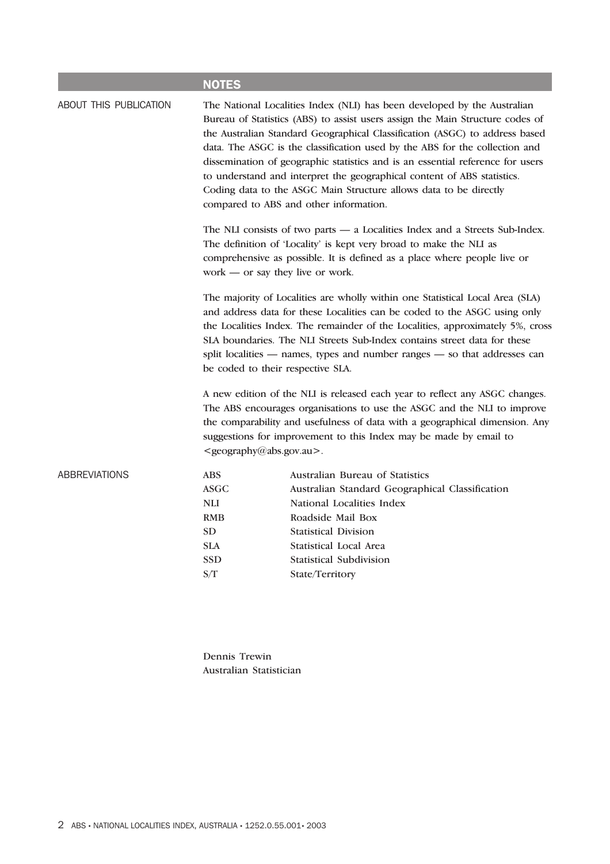|                        | <b>NOTES</b>                                                                                                                                                                                                                                                                                                                                                                                                                                                                                                                                                                                        |                                                                                                                                                                                                                                                                                                                                                              |  |  |  |  |
|------------------------|-----------------------------------------------------------------------------------------------------------------------------------------------------------------------------------------------------------------------------------------------------------------------------------------------------------------------------------------------------------------------------------------------------------------------------------------------------------------------------------------------------------------------------------------------------------------------------------------------------|--------------------------------------------------------------------------------------------------------------------------------------------------------------------------------------------------------------------------------------------------------------------------------------------------------------------------------------------------------------|--|--|--|--|
| ABOUT THIS PUBLICATION | The National Localities Index (NLI) has been developed by the Australian<br>Bureau of Statistics (ABS) to assist users assign the Main Structure codes of<br>the Australian Standard Geographical Classification (ASGC) to address based<br>data. The ASGC is the classification used by the ABS for the collection and<br>dissemination of geographic statistics and is an essential reference for users<br>to understand and interpret the geographical content of ABS statistics.<br>Coding data to the ASGC Main Structure allows data to be directly<br>compared to ABS and other information. |                                                                                                                                                                                                                                                                                                                                                              |  |  |  |  |
|                        | The NLI consists of two parts $-$ a Localities Index and a Streets Sub-Index.<br>The definition of 'Locality' is kept very broad to make the NLI as<br>comprehensive as possible. It is defined as a place where people live or<br>work — or say they live or work.                                                                                                                                                                                                                                                                                                                                 |                                                                                                                                                                                                                                                                                                                                                              |  |  |  |  |
|                        | The majority of Localities are wholly within one Statistical Local Area (SLA)<br>and address data for these Localities can be coded to the ASGC using only<br>the Localities Index. The remainder of the Localities, approximately 5%, cross<br>SLA boundaries. The NLI Streets Sub-Index contains street data for these<br>split localities — names, types and number ranges — so that addresses can<br>be coded to their respective SLA.                                                                                                                                                          |                                                                                                                                                                                                                                                                                                                                                              |  |  |  |  |
|                        |                                                                                                                                                                                                                                                                                                                                                                                                                                                                                                                                                                                                     | A new edition of the NLI is released each year to reflect any ASGC changes.<br>The ABS encourages organisations to use the ASGC and the NLI to improve<br>the comparability and usefulness of data with a geographical dimension. Any<br>suggestions for improvement to this Index may be made by email to<br><geography@abs.gov.au>.</geography@abs.gov.au> |  |  |  |  |
| ABBREVIATIONS          | <b>ABS</b><br><b>ASGC</b><br><b>NLI</b><br><b>RMB</b><br><b>SD</b><br><b>SLA</b><br><b>SSD</b><br>S/T                                                                                                                                                                                                                                                                                                                                                                                                                                                                                               | Australian Bureau of Statistics<br>Australian Standard Geographical Classification<br>National Localities Index<br>Roadside Mail Box<br><b>Statistical Division</b><br><b>Statistical Local Area</b><br><b>Statistical Subdivision</b><br>State/Territory                                                                                                    |  |  |  |  |
|                        |                                                                                                                                                                                                                                                                                                                                                                                                                                                                                                                                                                                                     |                                                                                                                                                                                                                                                                                                                                                              |  |  |  |  |

Dennis Trewin Australian Statistician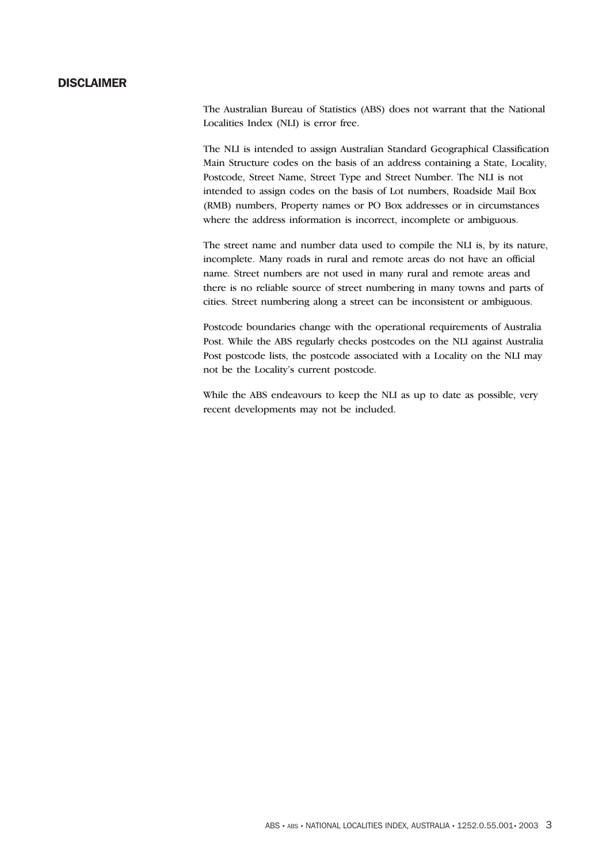## DISCLAIMER

The Australian Bureau of Statistics (ABS) does not warrant that the National Localities Index (NLI) is error free.

The NLI is intended to assign Australian Standard Geographical Classification Main Structure codes on the basis of an address containing a State, Locality, Postcode, Street Name, Street Type and Street Number. The NLI is not intended to assign codes on the basis of Lot numbers, Roadside Mail Box (RMB) numbers, Property names or PO Box addresses or in circumstances where the address information is incorrect, incomplete or ambiguous.

The street name and number data used to compile the NLI is, by its nature, incomplete. Many roads in rural and remote areas do not have an official name. Street numbers are not used in many rural and remote areas and there is no reliable source of street numbering in many towns and parts of cities. Street numbering along a street can be inconsistent or ambiguous.

Postcode boundaries change with the operational requirements of Australia Post. While the ABS regularly checks postcodes on the NLI against Australia Post postcode lists, the postcode associated with a Locality on the NLI may not be the Locality's current postcode.

While the ABS endeavours to keep the NLI as up to date as possible, very recent developments may not be included.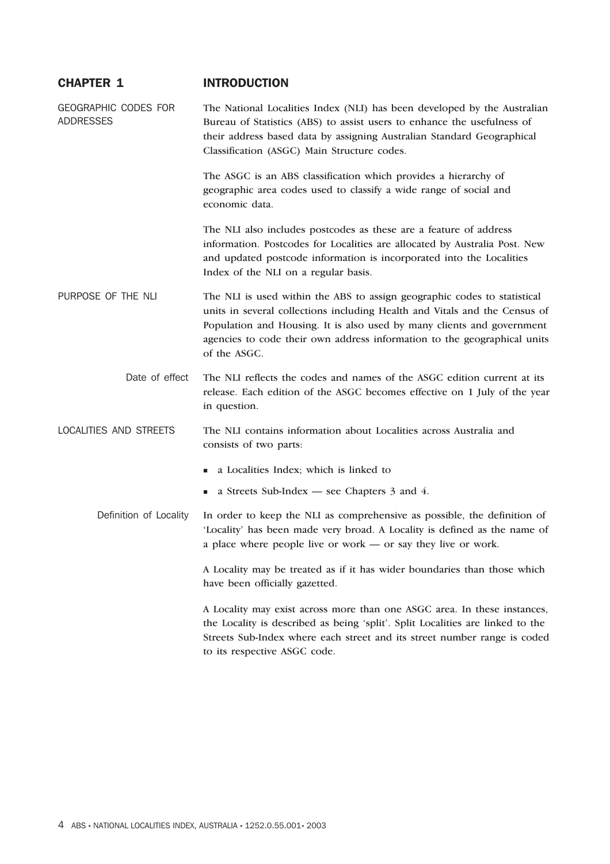## CHAPTER 1 INTRODUCTION

GEOGRAPHIC CODES FOR ADDRESSES The National Localities Index (NLI) has been developed by the Australian Bureau of Statistics (ABS) to assist users to enhance the usefulness of their address based data by assigning Australian Standard Geographical Classification (ASGC) Main Structure codes.

> The ASGC is an ABS classification which provides a hierarchy of geographic area codes used to classify a wide range of social and economic data.

The NLI also includes postcodes as these are a feature of address information. Postcodes for Localities are allocated by Australia Post. New and updated postcode information is incorporated into the Localities Index of the NLI on a regular basis.

PURPOSE OF THE NLI The NLI is used within the ABS to assign geographic codes to statistical units in several collections including Health and Vitals and the Census of Population and Housing. It is also used by many clients and government agencies to code their own address information to the geographical units of the ASGC.

> Date of effect The NLI reflects the codes and names of the ASGC edition current at its release. Each edition of the ASGC becomes effective on 1 July of the year in question.

LOCALITIES AND STREETS The NLI contains information about Localities across Australia and consists of two parts:

- a Localities Index; which is linked to
- a Streets Sub-Index see Chapters 3 and 4.

Definition of Locality In order to keep the NLI as comprehensive as possible, the definition of 'Locality' has been made very broad. A Locality is defined as the name of a place where people live or work — or say they live or work.

> A Locality may be treated as if it has wider boundaries than those which have been officially gazetted.

A Locality may exist across more than one ASGC area. In these instances, the Locality is described as being 'split'. Split Localities are linked to the Streets Sub-Index where each street and its street number range is coded to its respective ASGC code.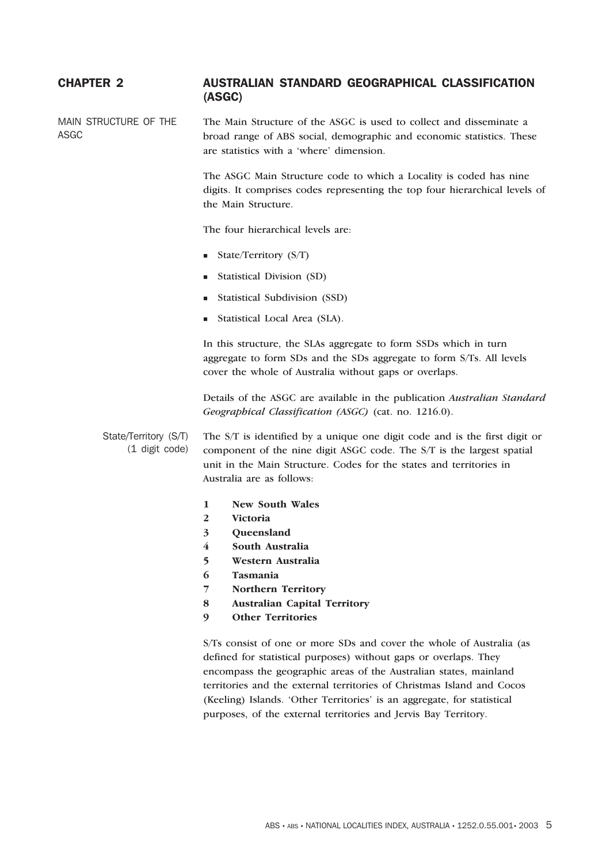## CHAPTER 2 AUSTRALIAN STANDARD GEOGRAPHICAL CLASSIFICATION (ASGC)

MAIN STRUCTURE OF THE ASGC The Main Structure of the ASGC is used to collect and disseminate a broad range of ABS social, demographic and economic statistics. These are statistics with a 'where' dimension.

> The ASGC Main Structure code to which a Locality is coded has nine digits. It comprises codes representing the top four hierarchical levels of the Main Structure.

The four hierarchical levels are:

- State/Territory  $(S/T)$
- **Statistical Division (SD)**
- **Statistical Subdivision (SSD)**
- Statistical Local Area (SLA).

In this structure, the SLAs aggregate to form SSDs which in turn aggregate to form SDs and the SDs aggregate to form S/Ts. All levels cover the whole of Australia without gaps or overlaps.

Details of the ASGC are available in the publication *Australian Standard Geographical Classification (ASGC)* (cat. no. 1216.0).

State/Territory (S/T) (1 digit code) The S/T is identified by a unique one digit code and is the first digit or component of the nine digit ASGC code. The S/T is the largest spatial unit in the Main Structure. Codes for the states and territories in Australia are as follows:

- **1 New South Wales**
- **2 Victoria**
- **3 Queensland**
- **4 South Australia**
- **5 Western Australia**
- **6 Tasmania**
- **7 Northern Territory**
- **8 Australian Capital Territory**
- **9 Other Territories**

S/Ts consist of one or more SDs and cover the whole of Australia (as defined for statistical purposes) without gaps or overlaps. They encompass the geographic areas of the Australian states, mainland territories and the external territories of Christmas Island and Cocos (Keeling) Islands. 'Other Territories' is an aggregate, for statistical purposes, of the external territories and Jervis Bay Territory.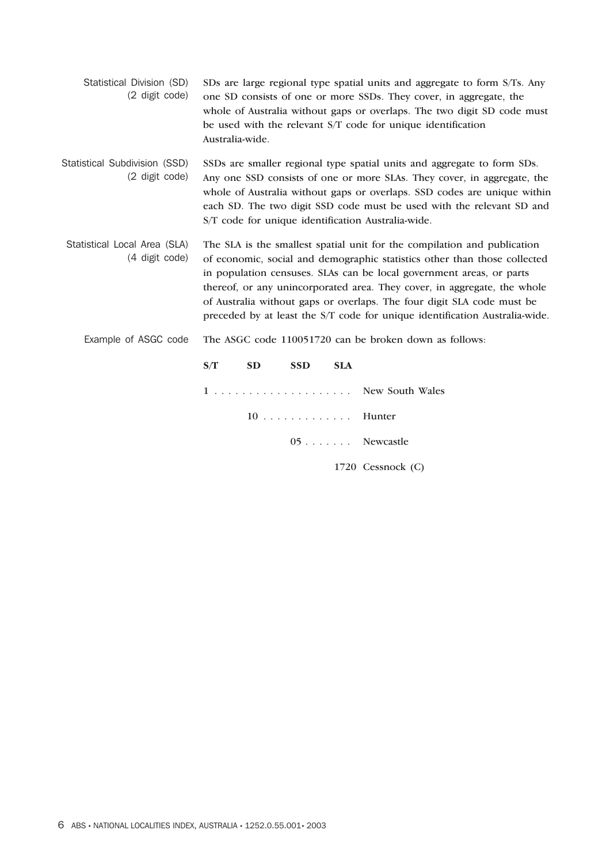|                | Statistical Division (SD) SDs are large regional type spatial units and aggregate to form S/Ts. Any |
|----------------|-----------------------------------------------------------------------------------------------------|
| (2 digit code) | one SD consists of one or more SSDs. They cover, in aggregate, the                                  |
|                | whole of Australia without gaps or overlaps. The two digit SD code must                             |
|                | be used with the relevant S/T code for unique identification                                        |
|                | Australia-wide.                                                                                     |

Statistical Subdivision (SSD) (2 digit code) SSDs are smaller regional type spatial units and aggregate to form SDs. Any one SSD consists of one or more SLAs. They cover, in aggregate, the whole of Australia without gaps or overlaps. SSD codes are unique within each SD. The two digit SSD code must be used with the relevant SD and S/T code for unique identification Australia-wide.

- Statistical Local Area (SLA) (4 digit code) The SLA is the smallest spatial unit for the compilation and publication of economic, social and demographic statistics other than those collected in population censuses. SLAs can be local government areas, or parts thereof, or any unincorporated area. They cover, in aggregate, the whole of Australia without gaps or overlaps. The four digit SLA code must be preceded by at least the S/T code for unique identification Australia-wide.
	- Example of ASGC code The ASGC code 110051720 can be broken down as follows:

| S/T | SD | <b>SSD</b> | <b>SLA</b> |                   |
|-----|----|------------|------------|-------------------|
|     |    |            |            |                   |
|     |    | 10 Hunter  |            |                   |
|     |    |            |            | 05 Newcastle      |
|     |    |            |            | 1720 Cessnock (C) |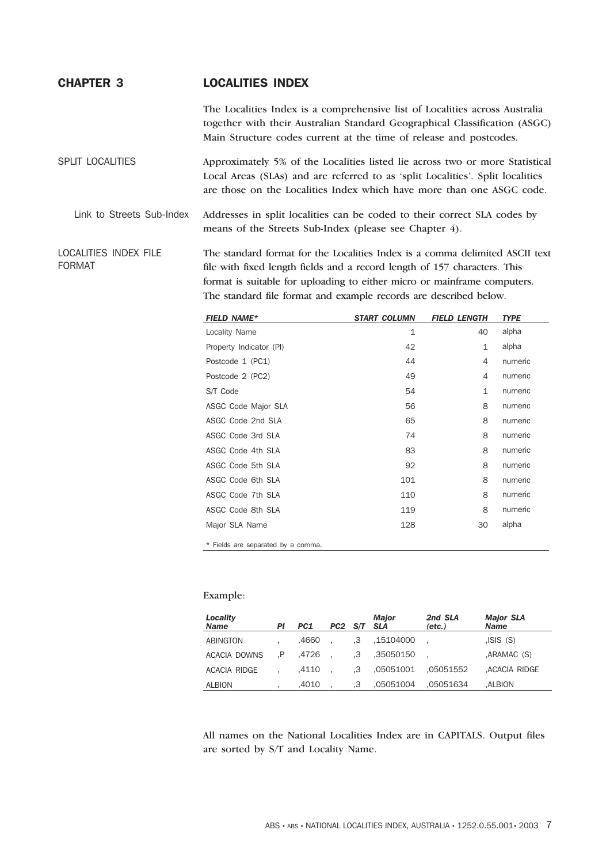## CHAPTER 3 LOCALITIES INDEX

The Localities Index is a comprehensive list of Localities across Australia together with their Australian Standard Geographical Classification (ASGC) Main Structure codes current at the time of release and postcodes.

SPLIT LOCALITIES Approximately 5% of the Localities listed lie across two or more Statistical Local Areas (SLAs) and are referred to as 'split Localities'. Split localities are those on the Localities Index which have more than one ASGC code.

Link to Streets Sub-Index Addresses in split localities can be coded to their correct SLA codes by means of the Streets Sub-Index (please see Chapter 4).

LOCALITIES INDEX FILE FORMAT The standard format for the Localities Index is a comma delimited ASCII text file with fixed length fields and a record length of 157 characters. This format is suitable for uploading to either micro or mainframe computers. The standard file format and example records are described below.

| <b>FIELD NAME*</b>                 | <b>START COLUMN</b> | <b>FIELD LENGTH</b> | <b>TYPE</b> |
|------------------------------------|---------------------|---------------------|-------------|
| Locality Name                      | $\mathbf{1}$        | 40                  | alpha       |
| Property Indicator (PI)            | 42                  | $\mathbf{1}$        | alpha       |
| Postcode 1 (PC1)                   | 44                  | 4                   | numeric     |
| Postcode 2 (PC2)                   | 49                  | 4                   | numeric     |
| S/T Code                           | 54                  | $\mathbf{1}$        | numeric     |
| ASGC Code Major SLA                | 56                  | 8                   | numeric     |
| ASGC Code 2nd SLA                  | 65                  | 8                   | numeric     |
| ASGC Code 3rd SLA                  | 74                  | 8                   | numeric     |
| ASGC Code 4th SLA                  | 83                  | 8                   | numeric     |
| ASGC Code 5th SLA                  | 92                  | 8                   | numeric     |
| ASGC Code 6th SLA                  | 101                 | 8                   | numeric     |
| ASGC Code 7th SLA                  | 110                 | 8                   | numeric     |
| ASGC Code 8th SLA                  | 119                 | 8                   | numeric     |
| Major SLA Name                     | 128                 | 30                  | alpha       |
| * Fields are separated by a comma. |                     |                     |             |

#### Example:

| Locality<br><b>Name</b> | ΡI | PC1   | PC <sub>2</sub> | S/T SLA | <b>Major</b> | 2nd SLA<br>$(\text{etc.})$ | <b>Major SLA</b><br><b>Name</b> |
|-------------------------|----|-------|-----------------|---------|--------------|----------------------------|---------------------------------|
| <b>ABINGTON</b>         |    | .4660 |                 | .3      | .15104000    |                            | JSIS(S)                         |
| ACACIA DOWNS            | .P | .4726 |                 | .3      | .35050150    |                            | .ARAMAC (S)                     |
| <b>ACACIA RIDGE</b>     |    | .4110 |                 | .3      | .05051001    | .05051552                  | ,ACACIA RIDGE                   |
| <b>ALBION</b>           |    | .4010 |                 | .3      | ,05051004    | .05051634                  | .ALBION                         |

All names on the National Localities Index are in CAPITALS. Output files are sorted by S/T and Locality Name.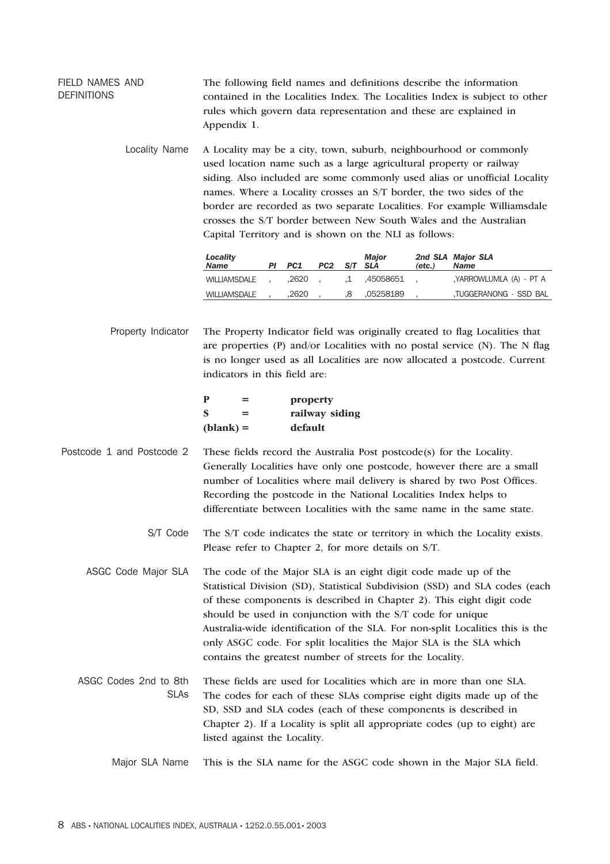FIELD NAMES AND **DEFINITIONS** The following field names and definitions describe the information contained in the Localities Index. The Localities Index is subject to other rules which govern data representation and these are explained in Appendix 1.

> Locality Name A Locality may be a city, town, suburb, neighbourhood or commonly used location name such as a large agricultural property or railway siding. Also included are some commonly used alias or unofficial Locality names. Where a Locality crosses an S/T border, the two sides of the border are recorded as two separate Localities. For example Williamsdale crosses the S/T border between New South Wales and the Australian Capital Territory and is shown on the NLI as follows:

| Locality<br>Name | PI PC1 | PC2 S/T SLA |    | Maior        | $(\text{etc.})$ | 2nd SLA Major SLA<br><b>Name</b> |
|------------------|--------|-------------|----|--------------|-----------------|----------------------------------|
| WILLIAMSDALE     | .2620  |             |    | .1 .45058651 |                 | YARROWLUMLA (A) - PT A           |
| WILLIAMSDALE     | .2620  |             | .8 | .05258189    |                 | TUGGERANONG - SSD BAL            |

Property Indicator The Property Indicator field was originally created to flag Localities that are properties  $(P)$  and/or Localities with no postal service  $(N)$ . The N flag is no longer used as all Localities are now allocated a postcode. Current indicators in this field are:

> **P = property S = railway siding (blank) = default**

Postcode 1 and Postcode 2 These fields record the Australia Post postcode(s) for the Locality. Generally Localities have only one postcode, however there are a small number of Localities where mail delivery is shared by two Post Offices. Recording the postcode in the National Localities Index helps to differentiate between Localities with the same name in the same state.

> S/T Code The S/T code indicates the state or territory in which the Locality exists. Please refer to Chapter 2, for more details on S/T.

ASGC Code Major SLA The code of the Major SLA is an eight digit code made up of the Statistical Division (SD), Statistical Subdivision (SSD) and SLA codes (each of these components is described in Chapter 2). This eight digit code should be used in conjunction with the S/T code for unique Australia-wide identification of the SLA. For non-split Localities this is the only ASGC code. For split localities the Major SLA is the SLA which contains the greatest number of streets for the Locality.

ASGC Codes 2nd to 8th SLAs These fields are used for Localities which are in more than one SLA. The codes for each of these SLAs comprise eight digits made up of the SD, SSD and SLA codes (each of these components is described in Chapter 2). If a Locality is split all appropriate codes (up to eight) are listed against the Locality.

Major SLA Name This is the SLA name for the ASGC code shown in the Major SLA field.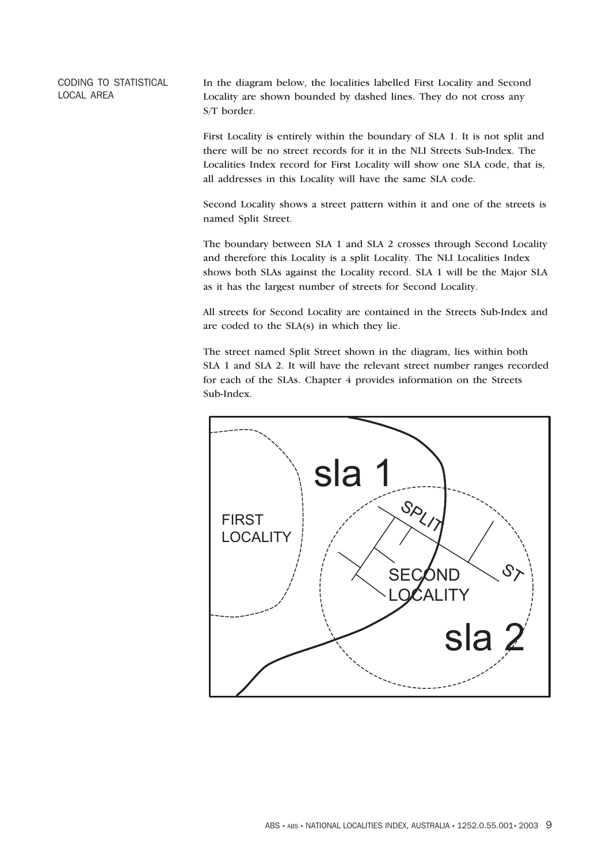CODING TO STATISTICAL LOCAL AREA

In the diagram below, the localities labelled First Locality and Second Locality are shown bounded by dashed lines. They do not cross any S/T border.

First Locality is entirely within the boundary of SLA 1. It is not split and there will be no street records for it in the NLI Streets Sub-Index. The Localities Index record for First Locality will show one SLA code, that is, all addresses in this Locality will have the same SLA code.

Second Locality shows a street pattern within it and one of the streets is named Split Street.

The boundary between SLA 1 and SLA 2 crosses through Second Locality and therefore this Locality is a split Locality. The NLI Localities Index shows both SLAs against the Locality record. SLA 1 will be the Major SLA as it has the largest number of streets for Second Locality.

All streets for Second Locality are contained in the Streets Sub-Index and are coded to the SLA(s) in which they lie.

The street named Split Street shown in the diagram, lies within both SLA 1 and SLA 2. It will have the relevant street number ranges recorded for each of the SLAs. Chapter 4 provides information on the Streets Sub-Index.

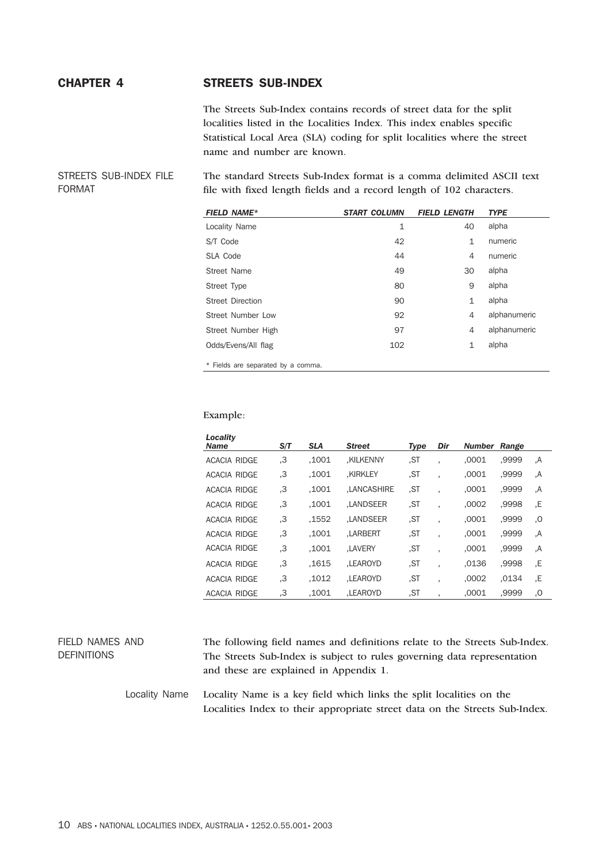## CHAPTER 4 STREETS SUB-INDEX

The Streets Sub-Index contains records of street data for the split localities listed in the Localities Index. This index enables specific Statistical Local Area (SLA) coding for split localities where the street name and number are known.

STREETS SUB-INDEX FILE FORMAT

The standard Streets Sub-Index format is a comma delimited ASCII text file with fixed length fields and a record length of 102 characters.

| <b>FIELD NAME*</b>                 | <b>START COLUMN</b> | <b>FIELD LENGTH</b> | <b>TYPE</b>  |
|------------------------------------|---------------------|---------------------|--------------|
| Locality Name                      | 1                   | 40                  | alpha        |
| S/T Code                           | 42                  | $\mathbf{1}$        | numeric      |
| SLA Code                           | 44                  | 4                   | numeric      |
| Street Name                        | 49                  | 30                  | alpha        |
| Street Type                        | 80                  | 9                   | alpha        |
| <b>Street Direction</b>            | 90                  | 1                   | alpha        |
| Street Number Low                  | 92                  | 4                   | alphanumeric |
| Street Number High                 | 97                  | 4                   | alphanumeric |
| Odds/Evens/All flag                | 102                 | 1                   | alpha        |
| * Fields are separated by a comma. |                     |                     |              |

Example:

| Locality<br><b>Name</b> | S/T | <b>SLA</b> | <b>Street</b>      | <b>Type</b> | Dir | Number | Range |    |
|-------------------------|-----|------------|--------------------|-------------|-----|--------|-------|----|
| ACACIA RIDGE            | З.  | .1001      | .KILKENNY          | .ST         |     | .0001  | .9999 | ,A |
| ACACIA RIDGE            | З.  | .1001      | .KIRKLEY           | .ST         |     | .0001  | .9999 | Α. |
| ACACIA RIDGE            | З.  | .1001      | <b>.LANCASHIRE</b> | .ST         |     | .0001  | .9999 | A. |
| ACACIA RIDGE            | З.  | .1001      | .LANDSEER          | .ST         |     | .0002  | .9998 | ,E |
| ACACIA RIDGE            | З.  | .1552      | .LANDSEER          | .ST         |     | .0001  | ,9999 | 0, |
| ACACIA RIDGE            | З.  | .1001      | LARBERT.           | .ST         | ٠   | .0001  | .9999 | A. |
| ACACIA RIDGE            | З.  | .1001      | <b>.LAVERY</b>     | .ST         |     | .0001  | .9999 | A. |
| <b>ACACIA RIDGE</b>     | З.  | .1615      | LEAROYD.           | .ST         |     | .0136  | ,9998 | .E |
| <b>ACACIA RIDGE</b>     | З.  | .1012      | LEAROYD.           | .ST         | ٠   | .0002  | .0134 | .E |
| ACACIA RIDGE            | З.  | .1001      | LEAROYD.           | .ST         |     | .0001  | .9999 | 0, |

#### FIELD NAMES AND DEFINITIONS The following field names and definitions relate to the Streets Sub-Index. The Streets Sub-Index is subject to rules governing data representation and these are explained in Appendix 1.

Locality Name Locality Name is a key field which links the split localities on the Localities Index to their appropriate street data on the Streets Sub-Index.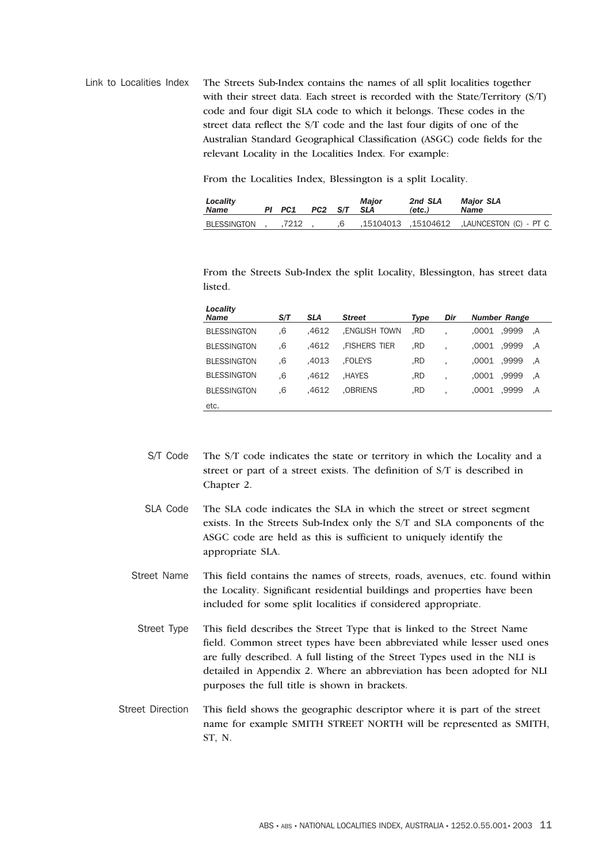Link to Localities Index The Streets Sub-Index contains the names of all split localities together with their street data. Each street is recorded with the State/Territory (S/T) code and four digit SLA code to which it belongs. These codes in the street data reflect the S/T code and the last four digits of one of the Australian Standard Geographical Classification (ASGC) code fields for the relevant Locality in the Localities Index. For example:

From the Localities Index, Blessington is a split Locality.

| Locality<br>Name | PI PC1 | PC2 S/T SLA | <b>Major</b> | 2nd SLA<br>(etc.) | <b>Major SLA</b><br><b>Name</b>                   |
|------------------|--------|-------------|--------------|-------------------|---------------------------------------------------|
| BLESSINGTON      | 7212   |             |              |                   | LAUNCESTON (C) - PT C. (15104612. LAUNCESTON (C). |

From the Streets Sub-Index the split Locality, Blessington, has street data listed.

| Locality<br><b>Name</b> | S/T | <b>SLA</b> | <b>Street</b>       | <b>Type</b> | Dir | <b>Number Range</b>  |
|-------------------------|-----|------------|---------------------|-------------|-----|----------------------|
| <b>BLESSINGTON</b>      | .6  | .4612      | ENGLISH TOWN.       | .RD         |     | .0001<br>,9999<br>.A |
| <b>BLESSINGTON</b>      | .6  | .4612      | <b>FISHERS TIER</b> | .RD         |     | ,9999<br>,0001<br>A. |
| <b>BLESSINGTON</b>      | .6  | .4013      | .FOLEYS             | RD.         |     | ,9999<br>.0001<br>A. |
| <b>BLESSINGTON</b>      | .6  | .4612      | .HAYES              | .RD         |     | .0001<br>,9999<br>A. |
| <b>BLESSINGTON</b>      | .6  | .4612      | .OBRIENS            | .RD         |     | ,9999<br>.0001<br>A. |
| etc.                    |     |            |                     |             |     |                      |

- S/T Code The S/T code indicates the state or territory in which the Locality and a street or part of a street exists. The definition of S/T is described in Chapter 2.
- SLA Code The SLA code indicates the SLA in which the street or street segment exists. In the Streets Sub-Index only the S/T and SLA components of the ASGC code are held as this is sufficient to uniquely identify the appropriate SLA.
- Street Name This field contains the names of streets, roads, avenues, etc. found within the Locality. Significant residential buildings and properties have been included for some split localities if considered appropriate.
- Street Type This field describes the Street Type that is linked to the Street Name field. Common street types have been abbreviated while lesser used ones are fully described. A full listing of the Street Types used in the NLI is detailed in Appendix 2. Where an abbreviation has been adopted for NLI purposes the full title is shown in brackets.
- Street Direction This field shows the geographic descriptor where it is part of the street name for example SMITH STREET NORTH will be represented as SMITH, ST, N.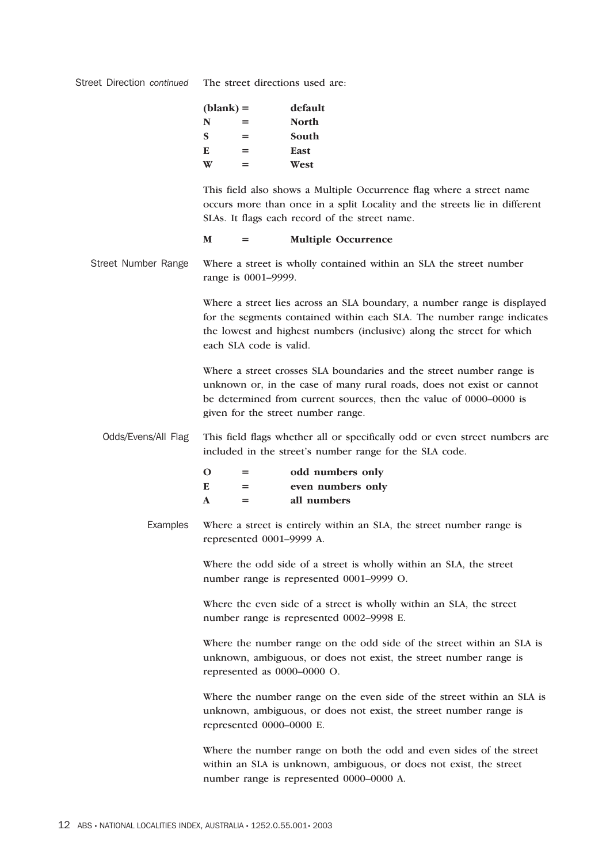| $(blank) =$ |   | default      |  |
|-------------|---|--------------|--|
| N           | = | <b>North</b> |  |
| <b>S</b>    | = | South        |  |
| E           | = | East         |  |
|             | ⋍ | West         |  |

This field also shows a Multiple Occurrence flag where a street name occurs more than once in a split Locality and the streets lie in different SLAs. It flags each record of the street name.

#### **M = Multiple Occurrence**

Street Number Range Where a street is wholly contained within an SLA the street number range is 0001–9999.

> Where a street lies across an SLA boundary, a number range is displayed for the segments contained within each SLA. The number range indicates the lowest and highest numbers (inclusive) along the street for which each SLA code is valid.

Where a street crosses SLA boundaries and the street number range is unknown or, in the case of many rural roads, does not exist or cannot be determined from current sources, then the value of 0000–0000 is given for the street number range.

Odds/Evens/All Flag This field flags whether all or specifically odd or even street numbers are included in the street's number range for the SLA code.

| റ | = | odd numbers only  |
|---|---|-------------------|
| E | = | even numbers only |
| A | = | all numbers       |

Examples Where a street is entirely within an SLA, the street number range is represented 0001–9999 A.

> Where the odd side of a street is wholly within an SLA, the street number range is represented 0001–9999 O.

Where the even side of a street is wholly within an SLA, the street number range is represented 0002–9998 E.

Where the number range on the odd side of the street within an SLA is unknown, ambiguous, or does not exist, the street number range is represented as 0000–0000 O.

Where the number range on the even side of the street within an SLA is unknown, ambiguous, or does not exist, the street number range is represented 0000–0000 E.

Where the number range on both the odd and even sides of the street within an SLA is unknown, ambiguous, or does not exist, the street number range is represented 0000–0000 A.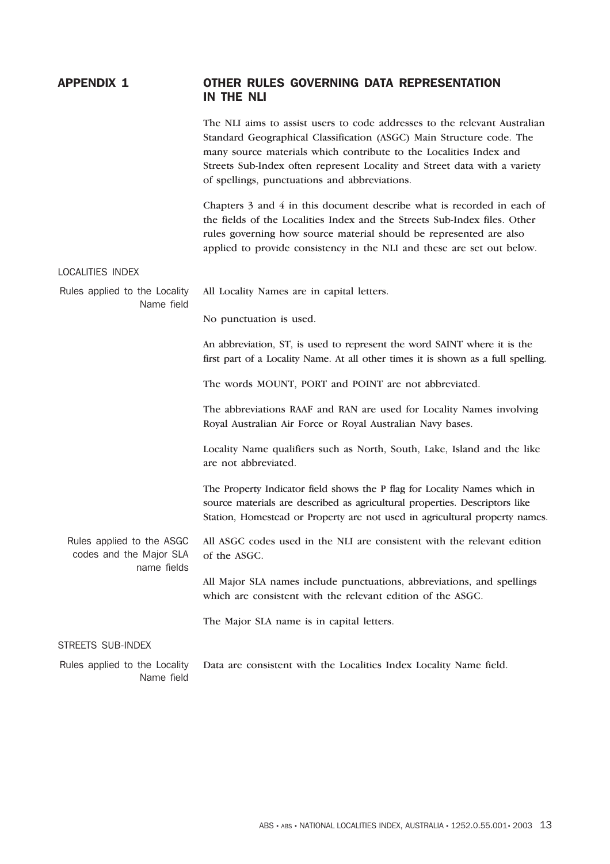## APPENDIX 1 OTHER RULES GOVERNING DATA REPRESENTATION IN THE NLI

The NLI aims to assist users to code addresses to the relevant Australian Standard Geographical Classification (ASGC) Main Structure code. The many source materials which contribute to the Localities Index and Streets Sub-Index often represent Locality and Street data with a variety of spellings, punctuations and abbreviations.

Chapters 3 and 4 in this document describe what is recorded in each of the fields of the Localities Index and the Streets Sub-Index files. Other rules governing how source material should be represented are also applied to provide consistency in the NLI and these are set out below.

#### LOCALITIES INDEX

|            | Rules applied to the Locality All Locality Names are in capital letters. |
|------------|--------------------------------------------------------------------------|
| Name field |                                                                          |

No punctuation is used.

An abbreviation, ST, is used to represent the word SAINT where it is the first part of a Locality Name. At all other times it is shown as a full spelling.

The words MOUNT, PORT and POINT are not abbreviated.

The abbreviations RAAF and RAN are used for Locality Names involving Royal Australian Air Force or Royal Australian Navy bases.

Locality Name qualifiers such as North, South, Lake, Island and the like are not abbreviated.

The Property Indicator field shows the P flag for Locality Names which in source materials are described as agricultural properties. Descriptors like Station, Homestead or Property are not used in agricultural property names.

Rules applied to the ASGC codes and the Major SLA name fields All ASGC codes used in the NLI are consistent with the relevant edition of the ASGC.

> All Major SLA names include punctuations, abbreviations, and spellings which are consistent with the relevant edition of the ASGC.

The Major SLA name is in capital letters.

#### STREETS SUB-INDEX

Rules applied to the Locality Name field Data are consistent with the Localities Index Locality Name field.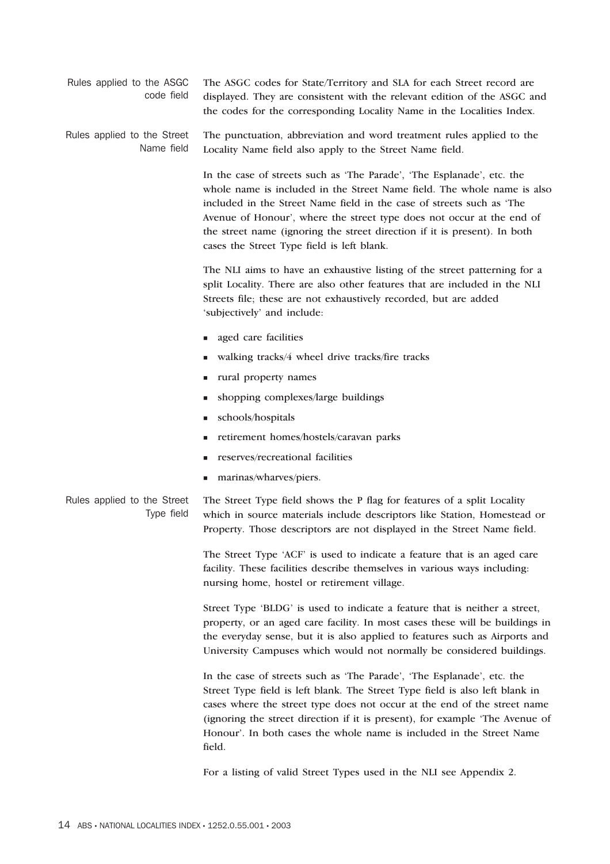Rules applied to the ASGC code field The ASGC codes for State/Territory and SLA for each Street record are displayed. They are consistent with the relevant edition of the ASGC and the codes for the corresponding Locality Name in the Localities Index.

Rules applied to the Street Name field The punctuation, abbreviation and word treatment rules applied to the Locality Name field also apply to the Street Name field.

> In the case of streets such as 'The Parade', 'The Esplanade', etc. the whole name is included in the Street Name field. The whole name is also included in the Street Name field in the case of streets such as 'The Avenue of Honour', where the street type does not occur at the end of the street name (ignoring the street direction if it is present). In both cases the Street Type field is left blank.

The NLI aims to have an exhaustive listing of the street patterning for a split Locality. There are also other features that are included in the NLI Streets file; these are not exhaustively recorded, but are added 'subjectively' and include:

- aged care facilities
- walking tracks/4 wheel drive tracks/fire tracks
- rural property names
- shopping complexes/large buildings
- schools/hospitals
- retirement homes/hostels/caravan parks
- reserves/recreational facilities
- marinas/wharves/piers.

Rules applied to the Street Type field The Street Type field shows the P flag for features of a split Locality which in source materials include descriptors like Station, Homestead or Property. Those descriptors are not displayed in the Street Name field.

> The Street Type 'ACF' is used to indicate a feature that is an aged care facility. These facilities describe themselves in various ways including: nursing home, hostel or retirement village.

Street Type 'BLDG' is used to indicate a feature that is neither a street, property, or an aged care facility. In most cases these will be buildings in the everyday sense, but it is also applied to features such as Airports and University Campuses which would not normally be considered buildings.

In the case of streets such as 'The Parade', 'The Esplanade', etc. the Street Type field is left blank. The Street Type field is also left blank in cases where the street type does not occur at the end of the street name (ignoring the street direction if it is present), for example 'The Avenue of Honour'. In both cases the whole name is included in the Street Name field.

For a listing of valid Street Types used in the NLI see Appendix 2.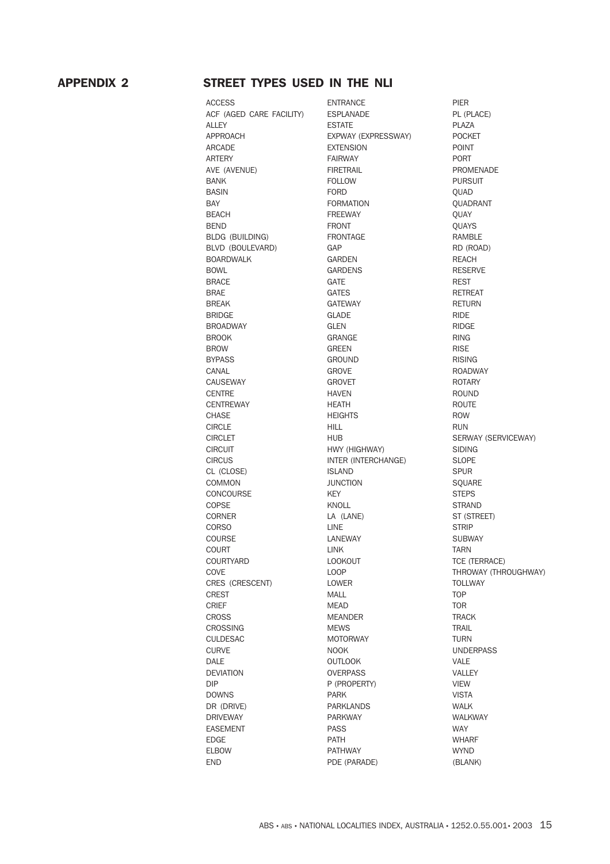## APPENDIX 2 STREET TYPES USED IN THE NLI

ACCESS ENTRANCE PIER ACF (AGED CARE FACILITY) ESPLANADE PL (PLACE) ALLEY PLAZA APPROACH EXPWAY (EXPRESSWAY) POCKET ARCADE EXTENSION EXTENSION POINT ARTERY **FAIRWAY** FAIRWAY PORT AVE (AVENUE) FIRETRAIL PROMENADE BANK **FOLLOW FOLLOW PURSUIT** BASIN FORD QUAD BAY **FORMATION** CUADRANT BEACH **EXECUTE CONTROLLER EXECUTE FREEWAY EXECUTE A COULD A**  $\mathbf{Q}$ UAY BEND GUAYS BLDG (BUILDING) FRONTAGE RAMBLE BLVD (BOULEVARD) GAP GAP RD (ROAD) BOARDWALK GARDEN GARDEN REACH BOWL GARDENS GARDENS RESERVE BRACE GATE GATE BRAE GATES GATES RETREAT BREAK GATEWAY GATEWAY RETURN BRIDGE GLADE GERIDGE RIDE BROADWAY GLEN GLEN RIDGE BROOK GRANGE RING BROW GREEN GREEN RISE BYPASS GROUND GROUND RISING CANAL GROVE GROVE ROADWAY CAUSEWAY GROVET GROVET ROTARY CENTRE HAVEN HAVEN CENTREWAY HEATH HEATH ROUTE CHASE **ROW** HEIGHTS **ROW** CIRCLE **RUN** CIRCLET HUB HUB SERWAY (SERVICEWAY) CIRCUIT HWY (HIGHWAY) SIDING CIRCUS INTER (INTERCHANGE) SLOPE CL (CLOSE) ISLAND SPUR COMMON JUNCTION SQUARE CONCOURSE KEY KEY STEPS COPSE KNOLL KNOLL STRAND CORNER LA (LANE) ST (STREET) CORSO LINE LINE STRIP COURSE LANEWAY LANEWAY SUBWAY COURT EXAMPLE LINK LINK TARN COURTYARD LOOKOUT LOOKOUT TCE (TERRACE) CRES (CRESCENT) LOWER LOWER TOLLWAY CREST MALL **MALL** TOP CRIEF **MEAD** MEAD TOR CROSS MEANDER TRACK CROSSING MEWS MEWS TRAIL CULDESAC MOTORWAY TURN CURVE NOOK NOOK UNDERPASS DALE OUTLOOK VALE DEVIATION OVERPASS VALLEY DIP P (PROPERTY) VIEW DOWNS PARK **PARK** VISTA DR (DRIVE) PARKLANDS WALK DRIVEWAY PARKWAY WALKWAY EASEMENT PASS PASS WAY EDGE PATH WHARF ELBOW PATHWAY WYND END PDE (PARADE) (BLANK)

COVE LOOP LOOP THROWAY (THROUGHWAY)